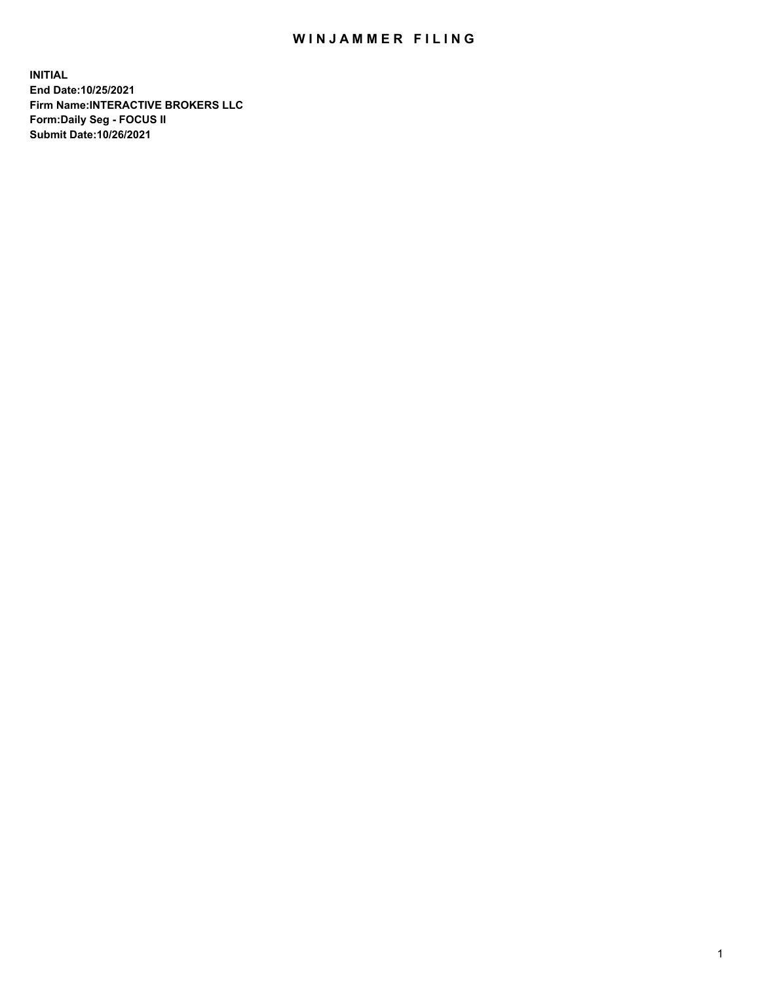## WIN JAMMER FILING

**INITIAL End Date:10/25/2021 Firm Name:INTERACTIVE BROKERS LLC Form:Daily Seg - FOCUS II Submit Date:10/26/2021**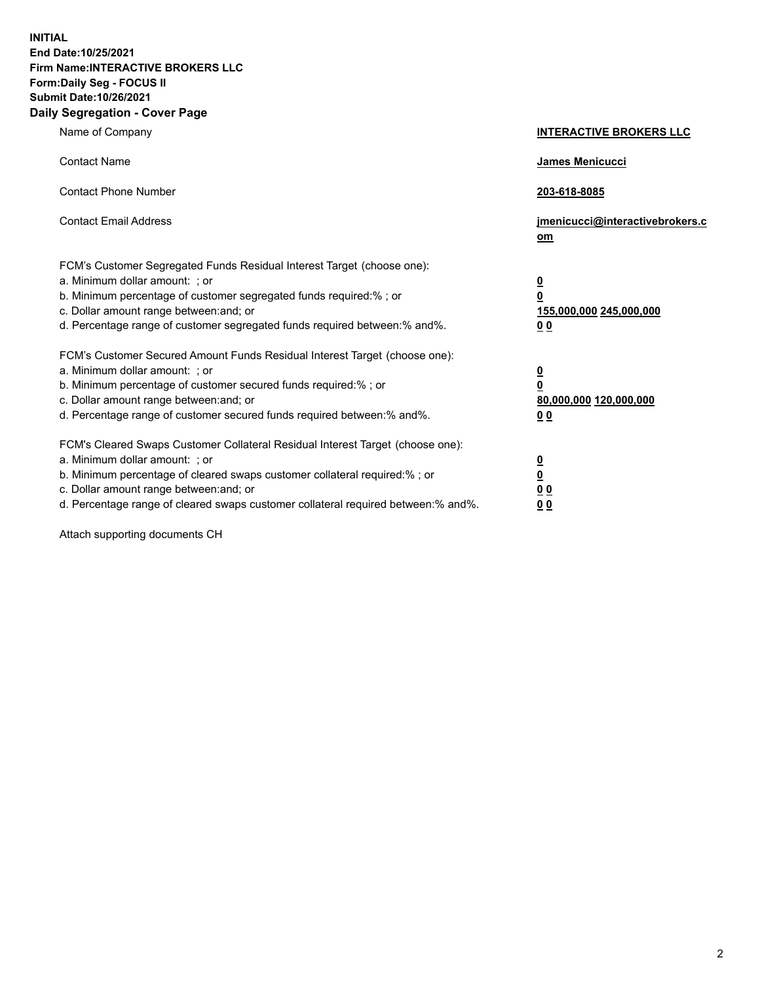**INITIAL End Date:10/25/2021 Firm Name:INTERACTIVE BROKERS LLC Form:Daily Seg - FOCUS II Submit Date:10/26/2021 Daily Segregation - Cover Page**

| Name of Company                                                                                                                                                                                                                                                                                                                | <b>INTERACTIVE BROKERS LLC</b>                                                                           |
|--------------------------------------------------------------------------------------------------------------------------------------------------------------------------------------------------------------------------------------------------------------------------------------------------------------------------------|----------------------------------------------------------------------------------------------------------|
| <b>Contact Name</b>                                                                                                                                                                                                                                                                                                            | James Menicucci                                                                                          |
| <b>Contact Phone Number</b>                                                                                                                                                                                                                                                                                                    | 203-618-8085                                                                                             |
| <b>Contact Email Address</b>                                                                                                                                                                                                                                                                                                   | jmenicucci@interactivebrokers.c<br>om                                                                    |
| FCM's Customer Segregated Funds Residual Interest Target (choose one):<br>a. Minimum dollar amount: ; or<br>b. Minimum percentage of customer segregated funds required:% ; or<br>c. Dollar amount range between: and; or<br>d. Percentage range of customer segregated funds required between:% and%.                         | $\overline{\mathbf{0}}$<br>$\overline{\mathbf{0}}$<br>155,000,000 245,000,000<br>0 <sub>0</sub>          |
| FCM's Customer Secured Amount Funds Residual Interest Target (choose one):<br>a. Minimum dollar amount: ; or<br>b. Minimum percentage of customer secured funds required:%; or<br>c. Dollar amount range between: and; or<br>d. Percentage range of customer secured funds required between:% and%.                            | $\overline{\mathbf{0}}$<br>$\overline{\mathbf{0}}$<br>80,000,000 120,000,000<br>00                       |
| FCM's Cleared Swaps Customer Collateral Residual Interest Target (choose one):<br>a. Minimum dollar amount: ; or<br>b. Minimum percentage of cleared swaps customer collateral required:% ; or<br>c. Dollar amount range between: and; or<br>d. Percentage range of cleared swaps customer collateral required between:% and%. | $\overline{\mathbf{0}}$<br>$\underline{\mathbf{0}}$<br>$\underline{0}$ $\underline{0}$<br>0 <sub>0</sub> |

Attach supporting documents CH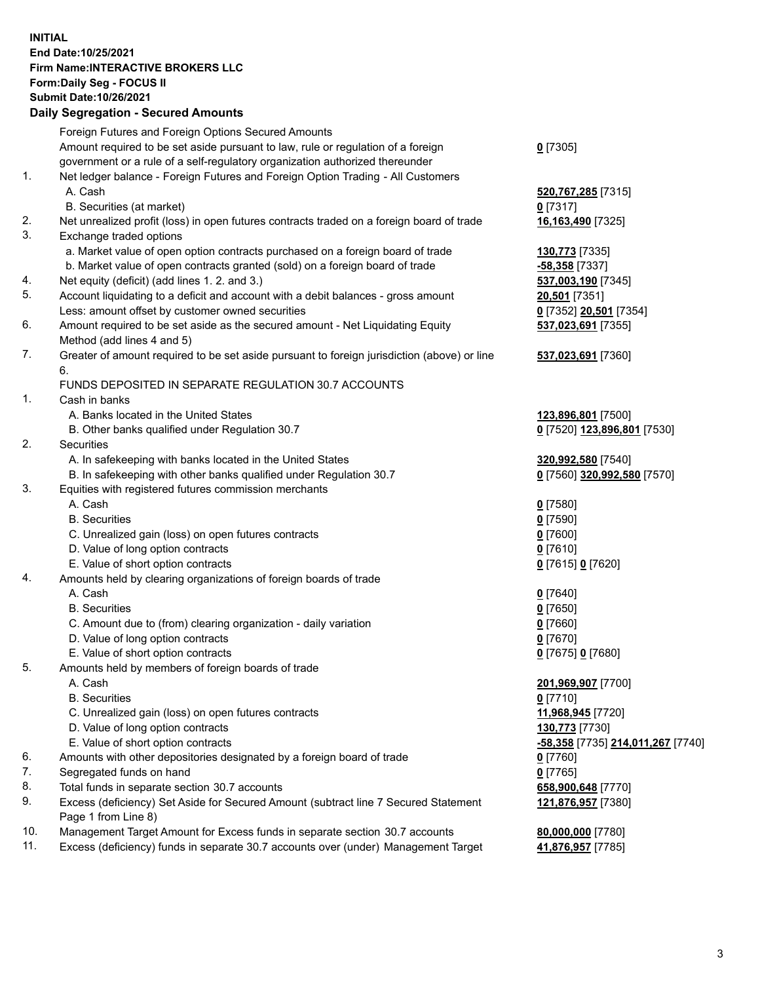## **INITIAL End Date:10/25/2021 Firm Name:INTERACTIVE BROKERS LLC Form:Daily Seg - FOCUS II Submit Date:10/26/2021 Daily Segregation - Secured Amounts**

|     | Dany Ocgregation - Occurea Anioants                                                               |                                                |
|-----|---------------------------------------------------------------------------------------------------|------------------------------------------------|
|     | Foreign Futures and Foreign Options Secured Amounts                                               |                                                |
|     | Amount required to be set aside pursuant to law, rule or regulation of a foreign                  | $0$ [7305]                                     |
|     | government or a rule of a self-regulatory organization authorized thereunder                      |                                                |
| 1.  | Net ledger balance - Foreign Futures and Foreign Option Trading - All Customers                   |                                                |
|     | A. Cash                                                                                           | 520,767,285 [7315]                             |
|     | B. Securities (at market)                                                                         | $0$ [7317]                                     |
| 2.  | Net unrealized profit (loss) in open futures contracts traded on a foreign board of trade         | 16,163,490 [7325]                              |
| 3.  | Exchange traded options                                                                           |                                                |
|     | a. Market value of open option contracts purchased on a foreign board of trade                    | 130,773 [7335]                                 |
|     | b. Market value of open contracts granted (sold) on a foreign board of trade                      | $-58,358$ [7337]                               |
| 4.  | Net equity (deficit) (add lines 1. 2. and 3.)                                                     | 537,003,190 [7345]                             |
| 5.  | Account liquidating to a deficit and account with a debit balances - gross amount                 | 20,501 [7351]                                  |
|     | Less: amount offset by customer owned securities                                                  | 0 [7352] 20,501 [7354]                         |
| 6.  | Amount required to be set aside as the secured amount - Net Liquidating Equity                    | 537,023,691 [7355]                             |
|     | Method (add lines 4 and 5)                                                                        |                                                |
| 7.  | Greater of amount required to be set aside pursuant to foreign jurisdiction (above) or line<br>6. | 537,023,691 [7360]                             |
|     | FUNDS DEPOSITED IN SEPARATE REGULATION 30.7 ACCOUNTS                                              |                                                |
| 1.  | Cash in banks                                                                                     |                                                |
|     | A. Banks located in the United States                                                             | 123,896,801 [7500]                             |
|     | B. Other banks qualified under Regulation 30.7                                                    | 0 [7520] 123,896,801 [7530]                    |
| 2.  | Securities                                                                                        |                                                |
|     | A. In safekeeping with banks located in the United States                                         | 320,992,580 [7540]                             |
|     | B. In safekeeping with other banks qualified under Regulation 30.7                                | 0 [7560] 320,992,580 [7570]                    |
| 3.  | Equities with registered futures commission merchants                                             |                                                |
|     | A. Cash                                                                                           | $0$ [7580]                                     |
|     | <b>B.</b> Securities                                                                              | $0$ [7590]                                     |
|     | C. Unrealized gain (loss) on open futures contracts                                               | $0$ [7600]                                     |
|     | D. Value of long option contracts                                                                 | $0$ [7610]                                     |
|     | E. Value of short option contracts                                                                | 0 [7615] 0 [7620]                              |
| 4.  | Amounts held by clearing organizations of foreign boards of trade                                 |                                                |
|     | A. Cash                                                                                           | $0$ [7640]                                     |
|     | <b>B.</b> Securities                                                                              | $0$ [7650]                                     |
|     | C. Amount due to (from) clearing organization - daily variation                                   | $0$ [7660]                                     |
|     | D. Value of long option contracts                                                                 | $0$ [7670]                                     |
|     | E. Value of short option contracts                                                                | 0 [7675] 0 [7680]                              |
| 5.  | Amounts held by members of foreign boards of trade                                                |                                                |
|     | A. Cash                                                                                           | 201,969,907 [7700]                             |
|     | <b>B.</b> Securities                                                                              | $0$ [7710]                                     |
|     | C. Unrealized gain (loss) on open futures contracts                                               | 11,968,945 [7720]                              |
|     | D. Value of long option contracts                                                                 | 130,773 [7730]                                 |
|     | E. Value of short option contracts                                                                | <mark>-58,358</mark> [7735] 214,011,267 [7740] |
| 6.  | Amounts with other depositories designated by a foreign board of trade                            | 0 [7760]                                       |
| 7.  | Segregated funds on hand                                                                          | $0$ [7765]                                     |
| 8.  | Total funds in separate section 30.7 accounts                                                     | 658,900,648 [7770]                             |
| 9.  | Excess (deficiency) Set Aside for Secured Amount (subtract line 7 Secured Statement               | 121,876,957 [7380]                             |
|     | Page 1 from Line 8)                                                                               |                                                |
| 10. | Management Target Amount for Excess funds in separate section 30.7 accounts                       | 80,000,000 [7780]                              |
| 11. | Excess (deficiency) funds in separate 30.7 accounts over (under) Management Target                | 41,876,957 [7785]                              |
|     |                                                                                                   |                                                |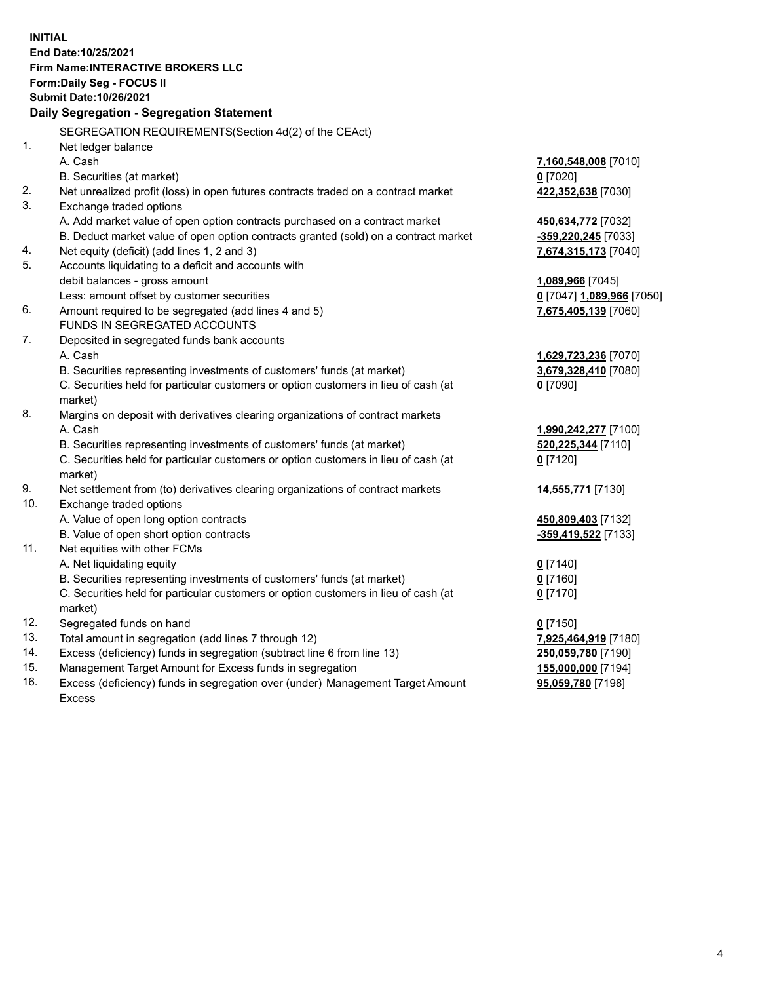**INITIAL End Date:10/25/2021 Firm Name:INTERACTIVE BROKERS LLC Form:Daily Seg - FOCUS II Submit Date:10/26/2021 Daily Segregation - Segregation Statement** SEGREGATION REQUIREMENTS(Section 4d(2) of the CEAct) 1. Net ledger balance A. Cash **7,160,548,008** [7010] B. Securities (at market) **0** [7020] 2. Net unrealized profit (loss) in open futures contracts traded on a contract market **422,352,638** [7030] 3. Exchange traded options A. Add market value of open option contracts purchased on a contract market **450,634,772** [7032] B. Deduct market value of open option contracts granted (sold) on a contract market **-359,220,245** [7033] 4. Net equity (deficit) (add lines 1, 2 and 3) **7,674,315,173** [7040] 5. Accounts liquidating to a deficit and accounts with debit balances - gross amount **1,089,966** [7045] Less: amount offset by customer securities **0** [7047] **1,089,966** [7050] 6. Amount required to be segregated (add lines 4 and 5) **7,675,405,139** [7060] FUNDS IN SEGREGATED ACCOUNTS 7. Deposited in segregated funds bank accounts A. Cash **1,629,723,236** [7070] B. Securities representing investments of customers' funds (at market) **3,679,328,410** [7080] C. Securities held for particular customers or option customers in lieu of cash (at market) **0** [7090] 8. Margins on deposit with derivatives clearing organizations of contract markets A. Cash **1,990,242,277** [7100] B. Securities representing investments of customers' funds (at market) **520,225,344** [7110] C. Securities held for particular customers or option customers in lieu of cash (at market) **0** [7120] 9. Net settlement from (to) derivatives clearing organizations of contract markets **14,555,771** [7130] 10. Exchange traded options A. Value of open long option contracts **450,809,403** [7132] B. Value of open short option contracts **-359,419,522** [7133] 11. Net equities with other FCMs A. Net liquidating equity **0** [7140] B. Securities representing investments of customers' funds (at market) **0** [7160] C. Securities held for particular customers or option customers in lieu of cash (at market) **0** [7170] 12. Segregated funds on hand **0** [7150] 13. Total amount in segregation (add lines 7 through 12) **7,925,464,919** [7180] 14. Excess (deficiency) funds in segregation (subtract line 6 from line 13) **250,059,780** [7190] 15. Management Target Amount for Excess funds in segregation **155,000,000** [7194] 16. Excess (deficiency) funds in segregation over (under) Management Target Amount **95,059,780** [7198]

Excess